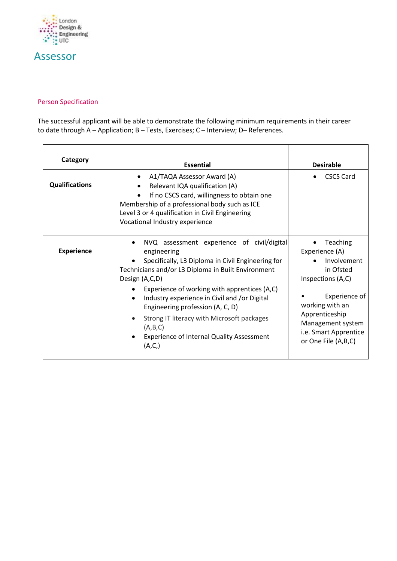

## Assessor

## Person Specification

The successful applicant will be able to demonstrate the following minimum requirements in their career to date through A – Application; B – Tests, Exercises; C – Interview; D– References.

| Category              | <b>Essential</b>                                                                                                                                                                                                                                                                                                                                                                                                                                    | <b>Desirable</b>                                                                                                                                                                                       |
|-----------------------|-----------------------------------------------------------------------------------------------------------------------------------------------------------------------------------------------------------------------------------------------------------------------------------------------------------------------------------------------------------------------------------------------------------------------------------------------------|--------------------------------------------------------------------------------------------------------------------------------------------------------------------------------------------------------|
| <b>Qualifications</b> | A1/TAQA Assessor Award (A)<br>Relevant IQA qualification (A)<br>If no CSCS card, willingness to obtain one<br>Membership of a professional body such as ICE<br>Level 3 or 4 qualification in Civil Engineering<br>Vocational Industry experience                                                                                                                                                                                                    | <b>CSCS Card</b>                                                                                                                                                                                       |
| <b>Experience</b>     | NVQ assessment experience of civil/digital<br>engineering<br>Specifically, L3 Diploma in Civil Engineering for<br>Technicians and/or L3 Diploma in Built Environment<br>Design (A,C,D)<br>Experience of working with apprentices (A,C)<br>Industry experience in Civil and /or Digital<br>Engineering profession (A, C, D)<br>Strong IT literacy with Microsoft packages<br>(A,B,C)<br><b>Experience of Internal Quality Assessment</b><br>(A, C, ) | Teaching<br>Experience (A)<br>Involvement<br>in Ofsted<br>Inspections (A,C)<br>Experience of<br>working with an<br>Apprenticeship<br>Management system<br>i.e. Smart Apprentice<br>or One File (A,B,C) |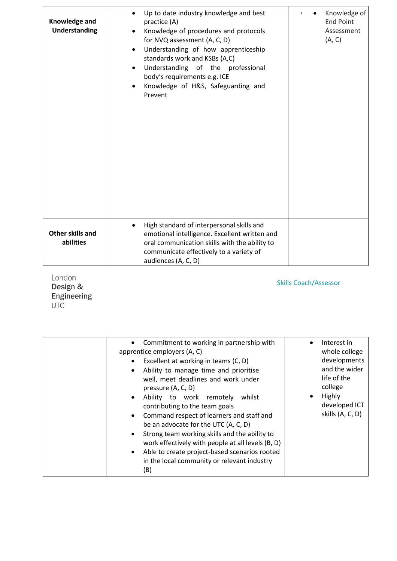| Knowledge and<br>Understanding | Up to date industry knowledge and best<br>$\bullet$<br>practice (A)<br>Knowledge of procedures and protocols<br>for NVQ assessment (A, C, D)<br>Understanding of how apprenticeship<br>$\bullet$<br>standards work and KSBs (A,C)<br>Understanding of the professional<br>$\bullet$<br>body's requirements e.g. ICE<br>Knowledge of H&S, Safeguarding and<br>$\bullet$<br>Prevent | Knowledge of<br><b>End Point</b><br>Assessment<br>(A, C) |
|--------------------------------|-----------------------------------------------------------------------------------------------------------------------------------------------------------------------------------------------------------------------------------------------------------------------------------------------------------------------------------------------------------------------------------|----------------------------------------------------------|
| Other skills and<br>abilities  | High standard of interpersonal skills and<br>$\bullet$<br>emotional intelligence. Excellent written and<br>oral communication skills with the ability to<br>communicate effectively to a variety of<br>audiences (A, C, D)                                                                                                                                                        |                                                          |

London Design &<br>Engineering<br>UTC

Skills Coach/Assessor

| Commitment to working in partnership with<br>٠<br>apprentice employers (A, C)<br>Excellent at working in teams (C, D)<br>$\bullet$<br>Ability to manage time and prioritise<br>$\bullet$<br>well, meet deadlines and work under<br>pressure (A, C, D)<br>Ability to work remotely<br>whilst<br>$\bullet$<br>contributing to the team goals<br>Command respect of learners and staff and<br>$\bullet$<br>be an advocate for the UTC (A, C, D)<br>Strong team working skills and the ability to<br>٠<br>work effectively with people at all levels (B, D)<br>Able to create project-based scenarios rooted<br>$\bullet$<br>in the local community or relevant industry<br>(B) | Interest in<br>$\bullet$<br>whole college<br>developments<br>and the wider<br>life of the<br>college<br>Highly<br>٠<br>developed ICT<br>skills (A, C, D) |
|-----------------------------------------------------------------------------------------------------------------------------------------------------------------------------------------------------------------------------------------------------------------------------------------------------------------------------------------------------------------------------------------------------------------------------------------------------------------------------------------------------------------------------------------------------------------------------------------------------------------------------------------------------------------------------|----------------------------------------------------------------------------------------------------------------------------------------------------------|
|-----------------------------------------------------------------------------------------------------------------------------------------------------------------------------------------------------------------------------------------------------------------------------------------------------------------------------------------------------------------------------------------------------------------------------------------------------------------------------------------------------------------------------------------------------------------------------------------------------------------------------------------------------------------------------|----------------------------------------------------------------------------------------------------------------------------------------------------------|